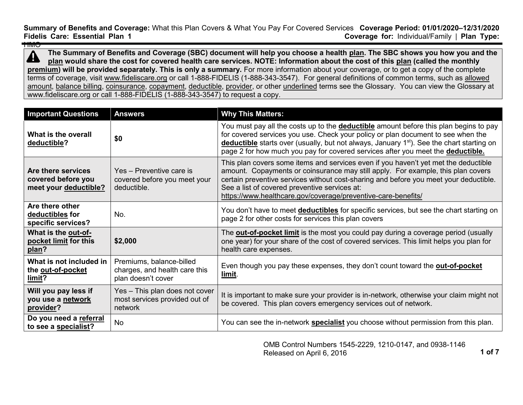**Summary of Benefits and Coverage:** What this Plan Covers & What You Pay For Covered Services **Coverage Period: 01/01/2020–12/31/2020 Coverage for: Individual/Family | Plan Type:** HMO

**The Summary of Benefits and Coverage (SBC) document will help you choose a health [plan.](https://www.healthcare.gov/sbc-glossary/#plan) The SBC shows you how you and the**   $\blacktriangle$ **[plan](https://www.healthcare.gov/sbc-glossary/#plan) would share the cost for covered health care services. NOTE: Information about the cost of this [plan](https://www.healthcare.gov/sbc-glossary/#plan) (called the monthly [premium\)](https://www.healthcare.gov/sbc-glossary/#premium) will be provided separately. This is only a summary.** For more information about your coverage, or to get a copy of the complete terms of coverage, visit [www.fideliscare.org](http://www.fideliscare.org/) or call 1-888-FIDELIS (1-888-343-3547). For general definitions of common terms, such as [allowed](https://www.healthcare.gov/sbc-glossary/#allowed-amount)  [amount,](https://www.healthcare.gov/sbc-glossary/#allowed-amount) [balance billing,](https://www.healthcare.gov/sbc-glossary/#balance-billing) [coinsurance,](https://www.healthcare.gov/sbc-glossary/#coinsurance) [copayment,](https://www.healthcare.gov/sbc-glossary/#copayment) [deductible,](https://www.healthcare.gov/sbc-glossary/#deductible) [provider,](https://www.healthcare.gov/sbc-glossary/#provider) or other underlined terms see the Glossary. You can view the Glossary at www.fideliscare.org or call 1-888-FIDELIS (1-888-343-3547) to request a copy.

| <b>Important Questions</b>                                        | <b>Answers</b>                                                                  | <b>Why This Matters:</b>                                                                                                                                                                                                                                                                                                                                                           |
|-------------------------------------------------------------------|---------------------------------------------------------------------------------|------------------------------------------------------------------------------------------------------------------------------------------------------------------------------------------------------------------------------------------------------------------------------------------------------------------------------------------------------------------------------------|
| What is the overall<br>deductible?                                | \$0                                                                             | You must pay all the costs up to the <b>deductible</b> amount before this plan begins to pay<br>for covered services you use. Check your policy or plan document to see when the<br>deductible starts over (usually, but not always, January 1 <sup>st</sup> ). See the chart starting on<br>page 2 for how much you pay for covered services after you meet the deductible.       |
| Are there services<br>covered before you<br>meet your deductible? | Yes - Preventive care is<br>covered before you meet your<br>deductible.         | This plan covers some items and services even if you haven't yet met the deductible<br>amount. Copayments or coinsurance may still apply. For example, this plan covers<br>certain preventive services without cost-sharing and before you meet your deductible.<br>See a list of covered preventive services at:<br>https://www.healthcare.gov/coverage/preventive-care-benefits/ |
| Are there other<br>deductibles for<br>specific services?          | No.                                                                             | You don't have to meet <b>deductibles</b> for specific services, but see the chart starting on<br>page 2 for other costs for services this plan covers                                                                                                                                                                                                                             |
| What is the out-of-<br>pocket limit for this<br>plan?             | \$2,000                                                                         | The <b>out-of-pocket limit</b> is the most you could pay during a coverage period (usually<br>one year) for your share of the cost of covered services. This limit helps you plan for<br>health care expenses.                                                                                                                                                                     |
| What is not included in<br>the out-of-pocket<br>limit?            | Premiums, balance-billed<br>charges, and health care this<br>plan doesn't cover | Even though you pay these expenses, they don't count toward the <b>out-of-pocket</b><br>limit.                                                                                                                                                                                                                                                                                     |
| Will you pay less if<br>you use a network<br>provider?            | Yes - This plan does not cover<br>most services provided out of<br>network      | It is important to make sure your provider is in-network, otherwise your claim might not<br>be covered. This plan covers emergency services out of network.                                                                                                                                                                                                                        |
| Do you need a referral<br>to see a specialist?                    | <b>No</b>                                                                       | You can see the in-network specialist you choose without permission from this plan.                                                                                                                                                                                                                                                                                                |

OMB Control Numbers 1545-2229, 1210-0147, and 0938-1146 Released on April 6, 2016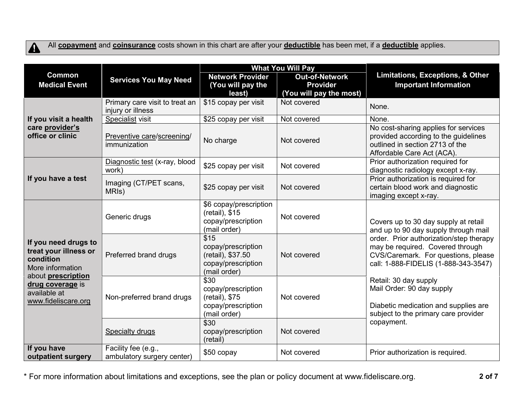

All **[copayment](https://www.healthcare.gov/sbc-glossary/#copayment)** and **[coinsurance](https://www.healthcare.gov/sbc-glossary/#coinsurance)** costs shown in this chart are after your **[deductible](https://www.healthcare.gov/sbc-glossary/#deductible)** has been met, if a **[deductible](https://www.healthcare.gov/sbc-glossary/#deductible)** applies.

|                                                                                                                                                                 |                                                     | <b>What You Will Pay</b>                                                              |                                                                     |                                                                                                                                                                                                                                                                                                                                                                                                |
|-----------------------------------------------------------------------------------------------------------------------------------------------------------------|-----------------------------------------------------|---------------------------------------------------------------------------------------|---------------------------------------------------------------------|------------------------------------------------------------------------------------------------------------------------------------------------------------------------------------------------------------------------------------------------------------------------------------------------------------------------------------------------------------------------------------------------|
| <b>Common</b><br><b>Medical Event</b>                                                                                                                           | <b>Services You May Need</b>                        | <b>Network Provider</b><br>(You will pay the<br>least)                                | <b>Out-of-Network</b><br><b>Provider</b><br>(You will pay the most) | Limitations, Exceptions, & Other<br><b>Important Information</b>                                                                                                                                                                                                                                                                                                                               |
|                                                                                                                                                                 | Primary care visit to treat an<br>injury or illness | \$15 copay per visit                                                                  | Not covered                                                         | None.                                                                                                                                                                                                                                                                                                                                                                                          |
| If you visit a health                                                                                                                                           | Specialist visit                                    | \$25 copay per visit                                                                  | Not covered                                                         | None.                                                                                                                                                                                                                                                                                                                                                                                          |
| care provider's<br>office or clinic                                                                                                                             | Preventive care/screening/<br>immunization          | No charge                                                                             | Not covered                                                         | No cost-sharing applies for services<br>provided according to the guidelines<br>outlined in section 2713 of the<br>Affordable Care Act (ACA).                                                                                                                                                                                                                                                  |
|                                                                                                                                                                 | Diagnostic test (x-ray, blood<br>work)              | \$25 copay per visit                                                                  | Not covered                                                         | Prior authorization required for<br>diagnostic radiology except x-ray.                                                                                                                                                                                                                                                                                                                         |
| If you have a test                                                                                                                                              | Imaging (CT/PET scans,<br>MRI <sub>s</sub> )        | \$25 copay per visit                                                                  | Not covered                                                         | Prior authorization is required for<br>certain blood work and diagnostic<br>imaging except x-ray.                                                                                                                                                                                                                                                                                              |
| If you need drugs to<br>treat your illness or<br>condition<br>More information<br>about prescription<br>drug coverage is<br>available at<br>www.fideliscare.org | Generic drugs                                       | \$6 copay/prescription<br>(retail), \$15<br>copay/prescription<br>(mail order)        | Not covered                                                         | Covers up to 30 day supply at retail<br>and up to 90 day supply through mail<br>order. Prior authorization/step therapy<br>may be required. Covered through<br>CVS/Caremark. For questions, please<br>call: 1-888-FIDELIS (1-888-343-3547)<br>Retail: 30 day supply<br>Mail Order: 90 day supply<br>Diabetic medication and supplies are<br>subject to the primary care provider<br>copayment. |
|                                                                                                                                                                 | Preferred brand drugs                               | \$15<br>copay/prescription<br>(retail), \$37.50<br>copay/prescription<br>(mail order) | Not covered                                                         |                                                                                                                                                                                                                                                                                                                                                                                                |
|                                                                                                                                                                 | Non-preferred brand drugs                           | \$30<br>copay/prescription<br>(retail), \$75<br>copay/prescription<br>(mail order)    | Not covered                                                         |                                                                                                                                                                                                                                                                                                                                                                                                |
|                                                                                                                                                                 | <b>Specialty drugs</b>                              | \$30<br>copay/prescription<br>(retail)                                                | Not covered                                                         |                                                                                                                                                                                                                                                                                                                                                                                                |
| If you have<br>outpatient surgery                                                                                                                               | Facility fee (e.g.,<br>ambulatory surgery center)   | \$50 copay                                                                            | Not covered                                                         | Prior authorization is required.                                                                                                                                                                                                                                                                                                                                                               |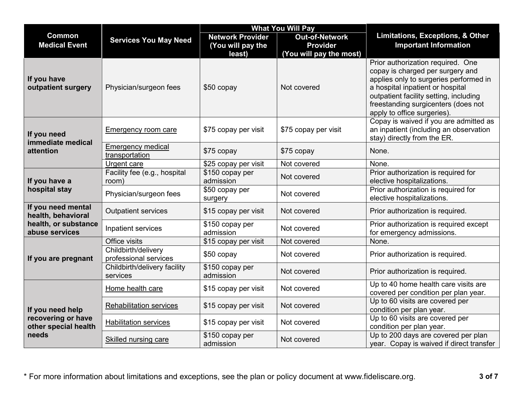|                                                                         |                                              | <b>What You Will Pay</b>                               |                                                                     |                                                                                                                                                                                                                                                                     |
|-------------------------------------------------------------------------|----------------------------------------------|--------------------------------------------------------|---------------------------------------------------------------------|---------------------------------------------------------------------------------------------------------------------------------------------------------------------------------------------------------------------------------------------------------------------|
| <b>Common</b><br><b>Medical Event</b>                                   | <b>Services You May Need</b>                 | <b>Network Provider</b><br>(You will pay the<br>least) | <b>Out-of-Network</b><br><b>Provider</b><br>(You will pay the most) | <b>Limitations, Exceptions, &amp; Other</b><br><b>Important Information</b>                                                                                                                                                                                         |
| If you have<br>outpatient surgery                                       | Physician/surgeon fees                       | \$50 copay                                             | Not covered                                                         | Prior authorization required. One<br>copay is charged per surgery and<br>applies only to surgeries performed in<br>a hospital inpatient or hospital<br>outpatient facility setting, including<br>freestanding surgicenters (does not<br>apply to office surgeries). |
| If you need<br>immediate medical                                        | <b>Emergency room care</b>                   | \$75 copay per visit                                   | \$75 copay per visit                                                | Copay is waived if you are admitted as<br>an inpatient (including an observation<br>stay) directly from the ER.                                                                                                                                                     |
| attention                                                               | <b>Emergency medical</b><br>transportation   | \$75 copay                                             | \$75 copay                                                          | None.                                                                                                                                                                                                                                                               |
|                                                                         | Urgent care                                  | \$25 copay per visit                                   | Not covered                                                         | None.                                                                                                                                                                                                                                                               |
| If you have a                                                           | Facility fee (e.g., hospital<br>room)        | \$150 copay per<br>admission                           | Not covered                                                         | Prior authorization is required for<br>elective hospitalizations.                                                                                                                                                                                                   |
| hospital stay                                                           | Physician/surgeon fees                       | \$50 copay per<br>surgery                              | Not covered                                                         | Prior authorization is required for<br>elective hospitalizations.                                                                                                                                                                                                   |
| If you need mental<br>health, behavioral                                | <b>Outpatient services</b>                   | \$15 copay per visit                                   | Not covered                                                         | Prior authorization is required.                                                                                                                                                                                                                                    |
| health, or substance<br>abuse services                                  | Inpatient services                           | $\overline{$}150$ copay per<br>admission               | Not covered                                                         | Prior authorization is required except<br>for emergency admissions.                                                                                                                                                                                                 |
|                                                                         | Office visits                                | \$15 copay per visit                                   | Not covered                                                         | None.                                                                                                                                                                                                                                                               |
| If you are pregnant                                                     | Childbirth/delivery<br>professional services | \$50 copay                                             | Not covered                                                         | Prior authorization is required.                                                                                                                                                                                                                                    |
|                                                                         | Childbirth/delivery facility<br>services     | \$150 copay per<br>admission                           | Not covered                                                         | Prior authorization is required.                                                                                                                                                                                                                                    |
|                                                                         | Home health care                             | \$15 copay per visit                                   | Not covered                                                         | Up to 40 home health care visits are<br>covered per condition per plan year.                                                                                                                                                                                        |
| If you need help<br>recovering or have<br>other special health<br>needs | <b>Rehabilitation services</b>               | \$15 copay per visit                                   | Not covered                                                         | Up to 60 visits are covered per<br>condition per plan year.                                                                                                                                                                                                         |
|                                                                         | <b>Habilitation services</b>                 | \$15 copay per visit                                   | Not covered                                                         | Up to 60 visits are covered per<br>condition per plan year.                                                                                                                                                                                                         |
|                                                                         | <b>Skilled nursing care</b>                  | $\overline{$}150$ copay per<br>admission               | Not covered                                                         | Up to 200 days are covered per plan<br>year. Copay is waived if direct transfer                                                                                                                                                                                     |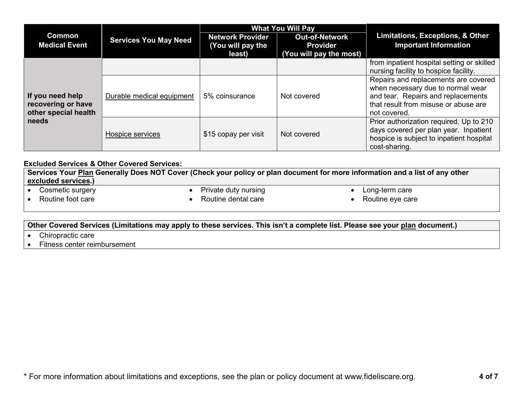|                                                                | <b>Services You May Need</b> | <b>What You Will Pay</b> |                         |                                            |  |
|----------------------------------------------------------------|------------------------------|--------------------------|-------------------------|--------------------------------------------|--|
| <b>Common</b><br><b>Medical Event</b>                          |                              | <b>Network Provider</b>  | <b>Out-of-Network</b>   | Limitations, Exceptions, & Other           |  |
|                                                                |                              | (You will pay the        | <b>Provider</b>         | <b>Important Information</b>               |  |
|                                                                |                              | least)                   | (You will pay the most) |                                            |  |
|                                                                |                              |                          |                         | from inpatient hospital setting or skilled |  |
| If you need help<br>recovering or have<br>other special health |                              |                          |                         | nursing facility to hospice facility.      |  |
|                                                                | Durable medical equipment    | 5% coinsurance           | Not covered             | Repairs and replacements are covered       |  |
|                                                                |                              |                          |                         | when necessary due to normal wear          |  |
|                                                                |                              |                          |                         | and tear. Repairs and replacements         |  |
|                                                                |                              |                          |                         | that result from misuse or abuse are       |  |
|                                                                |                              |                          |                         | not covered.                               |  |
| needs                                                          | Hospice services             | \$15 copay per visit     | Not covered             | Prior authorization required. Up to 210    |  |
|                                                                |                              |                          |                         | days covered per plan year. Inpatient      |  |
|                                                                |                              |                          |                         | hospice is subject to inpatient hospital   |  |
|                                                                |                              |                          |                         | cost-sharing.                              |  |

### **Excluded Services & Other Covered Services:**

**Services Your [Plan](https://www.healthcare.gov/sbc-glossary/#plan) Generally Does NOT Cover (Check your policy or plan document for more information and a list of any other [excluded services.](https://www.healthcare.gov/sbc-glossary/#excluded-services))**

Cosmetic surgery

• Private duty nursing

• Long-term care

• Routine foot care

• Routine dental care

• Routine eye care

### **Other Covered Services (Limitations may apply to these services. This isn't a complete list. Please see your [plan](https://www.healthcare.gov/sbc-glossary/#plan) document.)**

- Chiropractic care
- Fitness center reimbursement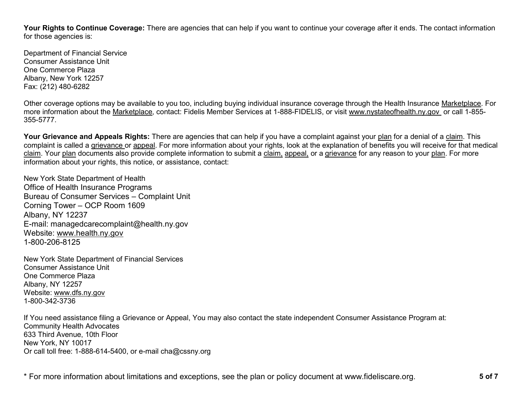**Your Rights to Continue Coverage:** There are agencies that can help if you want to continue your coverage after it ends. The contact information for those agencies is:

Department of Financial Service Consumer Assistance Unit One Commerce Plaza Albany, New York 12257 Fax: (212) 480-6282

Other coverage options may be available to you too, including buying individual insurance coverage through the Health Insurance [Marketplace.](https://www.healthcare.gov/sbc-glossary/#marketplace) For more information about the [Marketplace,](https://www.healthcare.gov/sbc-glossary/#marketplace) contact: Fidelis Member Services at 1-888-FIDELIS, or visit www.nystateofhealth.ny.gov or call 1-855- 355-5777.

**Your Grievance and Appeals Rights:** There are agencies that can help if you have a complaint against your [plan](https://www.healthcare.gov/sbc-glossary/#plan) for a denial of a [claim.](https://www.healthcare.gov/sbc-glossary/#claim) This complaint is called a [grievance](https://www.healthcare.gov/sbc-glossary/#grievance) or [appeal.](https://www.healthcare.gov/sbc-glossary/#appeal) For more information about your rights, look at the explanation of benefits you will receive for that medical [claim.](https://www.healthcare.gov/sbc-glossary/#claim) Your [plan](https://www.healthcare.gov/sbc-glossary/#plan) documents also provide complete information to submit a [claim,](https://www.healthcare.gov/sbc-glossary/#claim) [appeal,](https://www.healthcare.gov/sbc-glossary/#appeal) or a [grievance](https://www.healthcare.gov/sbc-glossary/#grievance) for any reason to your [plan.](https://www.healthcare.gov/sbc-glossary/#plan) For more information about your rights, this notice, or assistance, contact:

New York State Department of Health Office of Health Insurance Programs Bureau of Consumer Services – Complaint Unit Corning Tower – OCP Room 1609 Albany, NY 12237 E-mail: managedcarecomplaint@health.ny.gov Website: [www.health.ny.gov](http://www.health.ny.gov/) 1-800-206-8125

New York State Department of Financial Services Consumer Assistance Unit One Commerce Plaza Albany, NY 12257 Website: [www.dfs.ny.gov](http://www.dfs.ny.gov/) 1-800-342-3736

If You need assistance filing a Grievance or Appeal, You may also contact the state independent Consumer Assistance Program at: Community Health Advocates 633 Third Avenue, 10th Floor New York, NY 10017 Or call toll free: 1-888-614-5400, or e-mail cha@cssny.org

\* For more information about limitations and exceptions, see the plan or policy document at www.fideliscare.org. **5 of 7**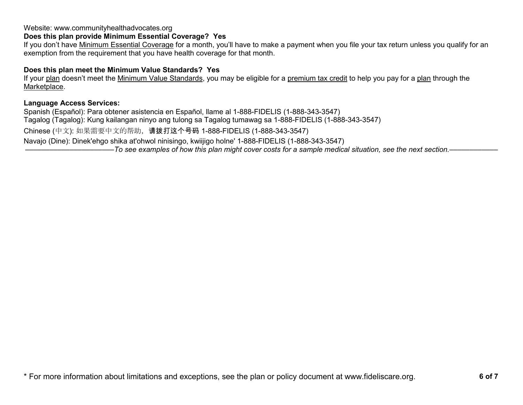## Website: www.communityhealthadvocates.org

# **Does this plan provide Minimum Essential Coverage? Yes**

If you don't have [Minimum Essential Coverage](https://www.healthcare.gov/sbc-glossary/#minimum-essential-coverage) for a month, you'll have to make a payment when you file your tax return unless you qualify for an exemption from the requirement that you have health coverage for that month.

### **Does this plan meet the Minimum Value Standards? Yes**

If your [plan](https://www.healthcare.gov/sbc-glossary/#plan) doesn't meet the [Minimum Value Standards,](https://www.healthcare.gov/sbc-glossary/#minimum-value-standard) you may be eligible for a [premium tax credit](https://www.healthcare.gov/sbc-glossary/#premium-tax-credits) to help you pay for a [plan](https://www.healthcare.gov/sbc-glossary/#plan) through the [Marketplace.](https://www.healthcare.gov/sbc-glossary/#marketplace)

### **Language Access Services:**

Spanish (Español): Para obtener asistencia en Español, llame al 1-888-FIDELIS (1-888-343-3547) Tagalog (Tagalog): Kung kailangan ninyo ang tulong sa Tagalog tumawag sa 1-888-FIDELIS (1-888-343-3547) Chinese (中文): 如果需要中文的帮助,请拨打这个号码 1-888-FIDELIS (1-888-343-3547) Navajo (Dine): Dinek'ehgo shika at'ohwol ninisingo, kwiijigo holne' 1-888-FIDELIS (1-888-343-3547) ––––––––––––––––––––––*To see examples of how this plan might cover costs for a sample medical situation, see the next section.–––––––––––*–